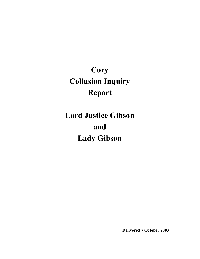# **Cory Collusion Inquiry Report**

# **Lord Justice Gibson and Lady Gibson**

**Delivered 7 October 2003**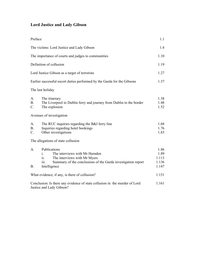# **Lord Justice and Lady Gibson**

| Preface                                                                                                |                                                                                                                                                                                                 | 1.1                                     |
|--------------------------------------------------------------------------------------------------------|-------------------------------------------------------------------------------------------------------------------------------------------------------------------------------------------------|-----------------------------------------|
| The victims: Lord Justice and Lady Gibson                                                              |                                                                                                                                                                                                 | 1.4                                     |
| The importance of courts and judges to communities                                                     |                                                                                                                                                                                                 | 1.10                                    |
| Definition of collusion                                                                                |                                                                                                                                                                                                 | 1.19                                    |
| Lord Justice Gibson as a target of terrorists                                                          |                                                                                                                                                                                                 | 1.27                                    |
| Earlier successful escort duties performed by the Garda for the Gibsons                                |                                                                                                                                                                                                 | 1.37                                    |
|                                                                                                        | The last holiday                                                                                                                                                                                |                                         |
| А.<br><b>B.</b><br>$C$ .                                                                               | The itinerary<br>The Liverpool to Dublin ferry and journey from Dublin to the border<br>The explosion                                                                                           | 1.38<br>1.48<br>1.52                    |
|                                                                                                        | Avenues of investigation                                                                                                                                                                        |                                         |
| A.<br>B <sub>1</sub><br>C.                                                                             | The RUC inquiries regarding the B&I ferry line<br>Inquiries regarding hotel bookings<br>Other investigations                                                                                    | 1.68<br>1.76<br>1.83                    |
|                                                                                                        | The allegations of state collusion                                                                                                                                                              |                                         |
| $A_{\cdot}$<br><b>B</b> .                                                                              | Publications<br>The interviews with Mr Harnden<br>$\mathbf{1}$ .<br>The interviews with Mr Myers<br>11.<br>Summary of the conclusions of the Garda investigation report<br>111.<br>Intelligence | 1.86<br>1.89<br>1.113<br>1.136<br>1.147 |
| What evidence, if any, is there of collusion?                                                          |                                                                                                                                                                                                 | 1.151                                   |
| Conclusion: Is there any evidence of state collusion in the murder of Lord<br>Justice and Lady Gibson? |                                                                                                                                                                                                 | 1.161                                   |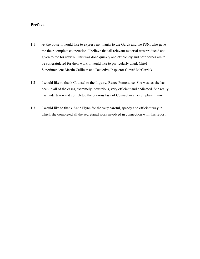# **Preface**

- 1.1 At the outset I would like to express my thanks to the Garda and the PSNI who gave me their complete cooperation. I believe that all relevant material was produced and given to me for review. This was done quickly and efficiently and both forces are to be congratulated for their work. I would like to particularly thank Chief Superintendent Martin Callinan and Detective Inspector Gerard McCarrick.
- 1.2 I would like to thank Counsel to the Inquiry, Renee Pomerance. She was, as she has been in all of the cases, extremely industrious, very efficient and dedicated. She really has undertaken and completed the onerous task of Counsel in an exemplary manner.
- 1.3 I would like to thank Anne Flynn for the very careful, speedy and efficient way in which she completed all the secretarial work involved in connection with this report.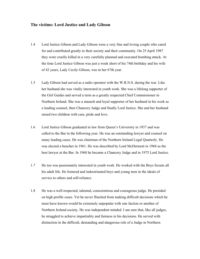## **The victims: Lord Justice and Lady Gibson**

- 1.4 Lord Justice Gibson and Lady Gibson were a very fine and loving couple who cared for and contributed greatly to their society and their community. On 25 April 1987 they were cruelly killed in a very carefully planned and executed bombing attack. At the time Lord Justice Gibson was just a week short of his 74th birthday and his wife of 42 years, Lady Cecily Gibson, was in her 67th year.
- 1.5 Lady Gibson had served as a radio operator with the W.R.N.S. during the war. Like her husband she was vitally interested in youth work. She was a lifelong supporter of the Girl Guides and served a term as a greatly respected Chief Commissioner in Northern Ireland. She was a staunch and loyal supporter of her husband in his work as a leading counsel, then Chancery Judge and finally Lord Justice. She and her husband raised two children with care, pride and love.
- 1.6 Lord Justice Gibson graduated in law from Queen's University in 1937 and was called to the Bar in the following year. He was an outstanding lawyer and counsel on many leading cases. He was chairman of the Northern Ireland Legal Quarterly. He was elected a bencher in 1961. He was described by Lord McDermott in 1968 as the best lawyer at the Bar. In 1968 he became a Chancery Judge and in 1975 Lord Justice.
- 1.7 He too was passionately interested in youth work. He worked with the Boys Scouts all his adult life. He fostered and indoctrinated boys and young men in the ideals of service to others and self-reliance.
- 1.8 He was a well-respected, talented, conscientious and courageous judge. He presided on high profile cases. Yet he never flinched from making difficult decisions which he must have known would be extremely unpopular with one faction or another of Northern Ireland society. He was independent minded. I am sure that, like all judges, he struggled to achieve impartiality and fairness in his decisions. He served with distinction in the difficult, demanding and dangerous role of a Judge in Northern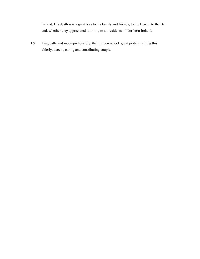Ireland. His death was a great loss to his family and friends, to the Bench, to the Bar and, whether they appreciated it or not, to all residents of Northern Ireland.

1.9 Tragically and incomprehensibly, the murderers took great pride in killing this elderly, decent, caring and contributing couple.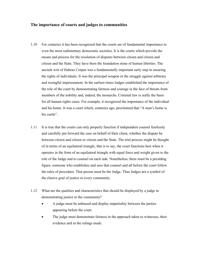## **The importance of courts and judges to communities**

- 1.10 For centuries it has been recognized that the courts are of fundamental importance to even the most rudimentary democratic societies. It is the courts which provide the means and process for the resolution of disputes between citizen and citizen and citizen and the State. They have been the foundation stone of human liberties. The ancient writ of Habeas Corpus was a fundamentally important early step in ensuring the rights of individuals. It was the principal weapon in the struggle against arbitrary and wrongful imprisonment. In the earliest times Judges established the importance of the role of the court by demonstrating fairness and courage in the face of threats from members of the nobility and, indeed, the monarchs. Criminal law is really the basis for all human rights cases. For example, it recognized the importance of the individual and his home. It was a court which, centuries ago, proclaimed that "A man's home is his castle".
- 1.11 It is true that the courts can only properly function if independent counsel fearlessly and carefully put forward the case on behalf of their client, whether the dispute be between citizen and citizen or citizen and the State. The trial process might be thought of in terms of an equilateral triangle, that is to say, the court functions best when it operates in the form of an equilateral triangle with equal force and weight given to the role of the Judge and to counsel on each side. Nonetheless, there must be a presiding figure, someone who establishes and sees that counsel and all before the court follow the rules of procedure. That person must be the Judge. Thus Judges are a symbol of the elusive goal of justice to every community.
- 1.12 What are the qualities and characteristics that should be displayed by a judge in demonstrating justice to the community?
	- - A judge must be unbiased and display impartiality between the parties appearing before the court.
	- $\bullet$  The judge must demonstrate fairness in the approach taken to witnesses, their evidence and in the rulings made.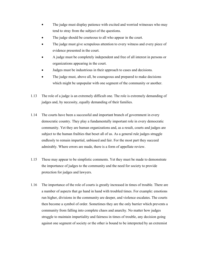- $\bullet$  The judge must display patience with excited and worried witnesses who may tend to stray from the subject of the questions.
- $\bullet$ The judge should be courteous to all who appear in the court.
- $\bullet$  The judge must give scrupulous attention to every witness and every piece of evidence presented in the court.
- $\bullet$  A judge must be completely independent and free of all interest in persons or organizations appearing in the court.
- -Judges must be industrious in their approach to cases and decisions.
- $\bullet$  The judge must, above all, be courageous and prepared to make decisions which might be unpopular with one segment of the community or another.
- 1.13 The role of a judge is an extremely difficult one. The role is extremely demanding of judges and, by necessity, equally demanding of their families.
- 1.14 The courts have been a successful and important branch of government in every democratic country. They play a fundamentally important role in every democratic community. Yet they are human organizations and, as a result, courts and judges are subject to the human frailties that beset all of us. As a general rule judges struggle endlessly to remain impartial, unbiased and fair. For the most part they succeed admirably. Where errors are made, there is a form of appellate review.
- 1.15 These may appear to be simplistic comments. Yet they must be made to demonstrate the importance of judges to the community and the need for society to provide protection for judges and lawyers.
- 1.16 The importance of the role of courts is greatly increased in times of trouble. There are a number of aspects that go hand in hand with troubled times. For example: emotions run higher, divisions in the community are deeper, and violence escalates. The courts then become a symbol of order. Sometimes they are the only barrier which prevents a community from falling into complete chaos and anarchy. No matter how judges struggle to maintain impartiality and fairness in times of trouble, any decision going against one segment of society or the other is bound to be interpreted by an extremist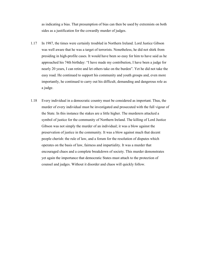as indicating a bias. That presumption of bias can then be used by extremists on both sides as a justification for the cowardly murder of judges.

- 1.17 In 1987, the times were certainly troubled in Northern Ireland. Lord Justice Gibson was well aware that he was a target of terrorists. Nonetheless, he did not shirk from presiding in high-profile cases. It would have been so easy for him to have said as he approached his 74th birthday: "I have made my contribution, I have been a judge for nearly 20 years, I can retire and let others take on the burden". Yet he did not take the easy road. He continued to support his community and youth groups and, even more importantly, he continued to carry out his difficult, demanding and dangerous role as a judge.
- 1.18 Every individual in a democratic country must be considered as important. Thus, the murder of every individual must be investigated and prosecuted with the full vigour of the State. In this instance the stakes are a little higher. The murderers attacked a symbol of justice for the community of Northern Ireland. The killing of Lord Justice Gibson was not simply the murder of an individual; it was a blow against the preservation of justice in the community. It was a blow against much that decent people cherish: the rule of law, and a forum for the resolution of disputes which operates on the basis of law, fairness and impartiality. It was a murder that encouraged chaos and a complete breakdown of society. This murder demonstrates yet again the importance that democratic States must attach to the protection of counsel and judges. Without it disorder and chaos will quickly follow.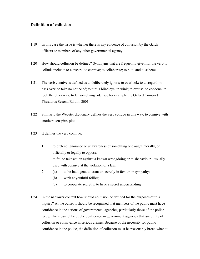# **Definition of collusion**

- 1.19 In this case the issue is whether there is any evidence of collusion by the Garda officers or members of any other governmental agency.
- 1.20 How should collusion be defined? Synonyms that are frequently given for the verb to collude include: to conspire; to connive; to collaborate; to plot; and to scheme.
- 1.21 The verb connive is defined as to deliberately ignore; to overlook; to disregard; to pass over; to take no notice of; to turn a blind eye; to wink; to excuse; to condone; to look the other way; to let something ride: see for example the Oxford Compact Thesaurus Second Edition 2001.
- 1.22 Similarly the Webster dictionary defines the verb collude in this way: to connive with another: conspire, plot.
- 1.23 It defines the verb connive:
	- 1. to pretend ignorance or unawareness of something one ought morally, or officially or legally to oppose; to fail to take action against a known wrongdoing or misbehaviour – usually used with connive at the violation of a law.
	- 2. (a) to be indulgent, tolerant or secretly in favour or sympathy;
		- (b) wink at youthful follies;
		- (c) to cooperate secretly: to have a secret understanding.
- 1.24 In the narrower context how should collusion be defined for the purposes of this inquiry? At the outset it should be recognised that members of the public must have confidence in the actions of governmental agencies, particularly those of the police force. There cannot be public confidence in government agencies that are guilty of collusion or connivance in serious crimes. Because of the necessity for public confidence in the police, the definition of collusion must be reasonably broad when it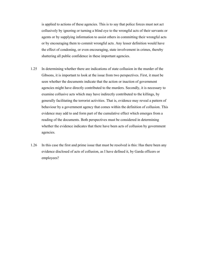is applied to actions of these agencies. This is to say that police forces must not act collusively by ignoring or turning a blind eye to the wrongful acts of their servants or agents or by supplying information to assist others in committing their wrongful acts or by encouraging them to commit wrongful acts. Any lesser definition would have the effect of condoning, or even encouraging, state involvement in crimes, thereby shattering all public confidence in these important agencies.

- 1.25 In determining whether there are indications of state collusion in the murder of the Gibsons, it is important to look at the issue from two perspectives. First, it must be seen whether the documents indicate that the action or inaction of government agencies might have directly contributed to the murders. Secondly, it is necessary to examine collusive acts which may have indirectly contributed to the killings, by generally facilitating the terrorist activities. That is, evidence may reveal a pattern of behaviour by a government agency that comes within the definition of collusion. This evidence may add to and form part of the cumulative effect which emerges from a reading of the documents. Both perspectives must be considered in determining whether the evidence indicates that there have been acts of collusion by government agencies.
- 1.26 In this case the first and prime issue that must be resolved is this: Has there been any evidence disclosed of acts of collusion, as I have defined it, by Garda officers or employees?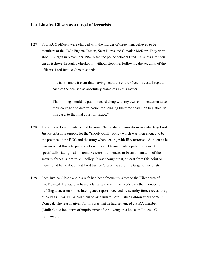#### **Lord Justice Gibson as a target of terrorists**

1.27 Four RUC officers were charged with the murder of three men, believed to be members of the IRA: Eugene Toman, Sean Burns and Gervaise McKerr. They were shot in Lurgan in November 1982 when the police officers fired 109 shots into their car as it drove through a checkpoint without stopping. Following the acquittal of the officers, Lord Justice Gibson stated:

> "I wish to make it clear that, having heard the entire Crown's case, I regard each of the accused as absolutely blameless in this matter.

 That finding should be put on record along with my own commendation as to their courage and determination for bringing the three dead men to justice, in this case, to the final court of justice."

- 1.28 These remarks were interpreted by some Nationalist organizations as indicating Lord Justice Gibson's support for the "shoot-to-kill" policy which was then alleged to be the practice of the RUC and the army when dealing with IRA terrorists. As soon as he was aware of this interpretation Lord Justice Gibson made a public statement specifically stating that his remarks were not intended to be an affirmation of the security forces' shoot-to-kill policy. It was thought that, at least from this point on, there could be no doubt that Lord Justice Gibson was a prime target of terrorists.
- 1.29 Lord Justice Gibson and his wife had been frequent visitors to the Kilcar area of Co. Donegal. He had purchased a landsite there in the 1960s with the intention of building a vacation home. Intelligence reports received by security forces reveal that, as early as 1974, PIRA had plans to assassinate Lord Justice Gibson at his home in Donegal. The reason given for this was that he had sentenced a PIRA member (Mullan) to a long term of imprisonment for blowing up a house in Belleek, Co. Fermanagh.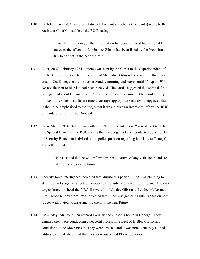1.30 On 6 February 1974, a representative of An Garda Síochána (the Garda) wrote to the Assistant Chief Constable of the RUC stating:

> "I wish to … inform you that information has been received from a reliable source to the effect that Mr Justice Gibson has been listed by the Provisional IRA to be shot in the near future."

- 1.31 Later, on 22 February 1974, a memo was sent by the Garda to the Superintendent of the RUC, Special Branch, indicating that Mr Justice Gibson had arrived in the Kilcar area of Co. Donegal early on Easter Sunday morning and stayed until 16 April 1974. No notification of his visit had been received. The Garda suggested that some definite arrangement should be made with Mr Justice Gibson to ensure that he would notify police of his visits in sufficient time to arrange appropriate security. It suggested that it should be emphasised to the Judge that it was in his own interest to inform the RUC or Garda prior to visiting Donegal.
- 1.32 On 4 March 1974 a letter was written to Chief Superintendent Wren of the Garda by the Special Branch of the RUC stating that the Judge had been contacted by a member of Security Branch and advised of the police position regarding his visits to Donegal. The letter noted:

 "He has stated that he will inform this headquarters of any visits he intends to make to the area in the future."

- 1.33 Security force intelligence indicated that, during this period, PIRA was planning to step up attacks against selected members of the judiciary in Northern Ireland. The two targets known to head the PIRA list were Lord Justice Gibson and Judge McDermott. Intelligence reports from 1984 indicated that PIRA was gathering intelligence on both judges with a view to assassinating them in the near future.
- 1.34 On 4 May 1981 four men entered Lord Justice Gibson's home in Donegal. They claimed they were conducting a peaceful protest in respect of H-Block prisoners' conditions at the Maze Prison. They were arrested and it was noted that they all had addresses in Killybegs and that they were suspected PIRA supporters.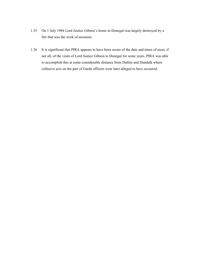- 1.35 On 1 July 1984 Lord Justice Gibson's home in Donegal was largely destroyed by a fire that was the work of arsonists.
- 1.36 It is significant that PIRA appears to have been aware of the date and times of most, if not all, of the visits of Lord Justice Gibson to Donegal for some years. PIRA was able to accomplish this at some considerable distance from Dublin and Dundalk where collusive acts on the part of Garda officers were later alleged to have occurred.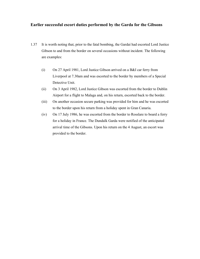## **Earlier successful escort duties performed by the Garda for the Gibsons**

- 1.37 It is worth noting that, prior to the fatal bombing, the Gardaí had escorted Lord Justice Gibson to and from the border on several occasions without incident. The following are examples:
	- (i) On 27 April 1981, Lord Justice Gibson arrived on a B&I car ferry from Liverpool at 7.30am and was escorted to the border by members of a Special Detective Unit.
	- (ii) On 3 April 1982, Lord Justice Gibson was escorted from the border to Dublin Airport for a flight to Malaga and, on his return, escorted back to the border.
	- (iii) On another occasion secure parking was provided for him and he was escorted to the border upon his return from a holiday spent in Gran Canaria.
	- (iv) On 17 July 1986, he was escorted from the border to Rosslare to board a ferry for a holiday in France. The Dundalk Garda were notified of the anticipated arrival time of the Gibsons. Upon his return on the 4 August, an escort was provided to the border.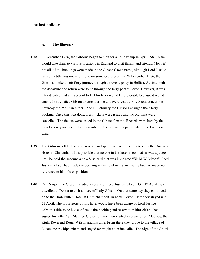#### **The last holiday**

#### **A. The itinerary**

- 1.38 In December 1986, the Gibsons began to plan for a holiday trip in April 1987, which would take them to various locations in England to visit family and friends. Most, if not all, of the bookings were made in the Gibsons' own name, although Lord Justice Gibson's title was not referred to on some occasions. On 28 December 1986, the Gibsons booked their ferry journey through a travel agency in Belfast. At first, both the departure and return were to be through the ferry port at Larne. However, it was later decided that a Liverpool to Dublin ferry would be preferable because it would enable Lord Justice Gibson to attend, as he did every year, a Boy Scout concert on Saturday the 25th. On either 12 or 17 February the Gibsons changed their ferry booking. Once this was done, fresh tickets were issued and the old ones were cancelled. The tickets were issued in the Gibsons' name. Records were kept by the travel agency and were also forwarded to the relevant departments of the B&I Ferry Line.
- 1.39 The Gibsons left Belfast on 14 April and spent the evening of 15 April in the Queen's Hotel in Cheltenham. It is possible that no one in the hotel knew that he was a judge until he paid the account with a Visa card that was imprinted "Sir M W Gibson". Lord Justice Gibson had made the booking at the hotel in his own name but had made no reference to his title or position.
- 1.40 On 16 April the Gibsons visited a cousin of Lord Justice Gibson. On 17 April they travelled to Dorset to visit a niece of Lady Gibson. On that same day they continued on to the High Bullen Hotel at Chittlehamholt, in north Devon. Here they stayed until 21 April. The proprietors of this hotel would have been aware of Lord Justice Gibson's title as he had confirmed the booking and reservation himself and had signed his letter "Sir Maurice Gibson". They then visited a cousin of Sir Maurice, the Right Reverend Roger Wilson and his wife. From there they drove to the village of Lacock near Chippenham and stayed overnight at an inn called The Sign of the Angel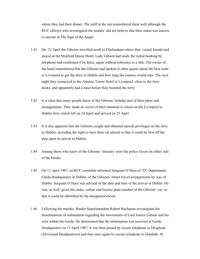where they had their dinner. The staff at the inn remembered them well although the RUC officers who investigated the murder did not believe that their status was known to anyone at The Sign of the Angel.

- 1.41 On 23 April the Gibsons travelled north to Cheltenham where they visited friends and stayed at the Stratford House Hotel. Lady Gibson had made the initial booking by telephone and confirmed it by letter, again without reference to a title. The owner of the hotel remembered that the Gibsons had spoken to other guests about the best route to Liverpool to get the ferry to Dublin and how long the journey would take. The next night they journeyed to the Atlantic Tower Hotel in Liverpool, close to the ferry docks, and apparently had a meal before they boarded the ferry.
- 1.42 It is clear that many people knew of the Gibsons' holiday and of their plans and arrangements. They made no secret of their intention to return on the Liverpool to Dublin ferry which left on 24 April and arrived on 25 April.
- 1.43 It is also apparent that the Gibsons sought and obtained special privileges on the ferry to Dublin, including the right to have their car placed so that it could be first off the ship upon its arrival in Dublin.
- 1.44 Among those who knew of the Gibsons' itinerary were the police forces on either side of the border.
- 1.45 On 13 April 1987, an RUC constable informed Sergeant O'Hara of "D" Department, Garda Headquarters in Dublin, of the Gibsons' return travel arrangements by way of Dublin. Sergeant O'Hara was advised of the date and time of the arrival in Dublin. He was, as well, given the make, colour and licence plate number of the Gibsons' car, so that it could be identified by the designated escort.
- 1.46 Following the murder, Border Superintendent Robert Buchanan investigated the dissemination of information regarding the movements of Lord Justice Gibson and his wife within the Garda. He determined that the information was received at Garda Headquarters on 13 April 1987. It was then passed by secure telephone to Drogheda (Divisional Headquarters) and then once again by secure telephone to Dundalk. At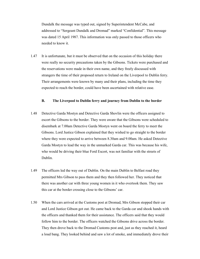Dundalk the message was typed out, signed by Superintendent McCabe, and addressed to "Sergeant Dundalk and Dromad" marked "Confidential". This message was dated 15 April 1987. This information was only passed to those officers who needed to know it.

1.47 It is unfortunate, but it must be observed that on the occasion of this holiday there were really no security precautions taken by the Gibsons. Tickets were purchased and the reservations were made in their own name, and they freely discussed with strangers the time of their proposed return to Ireland on the Liverpool to Dublin ferry. Their arrangements were known by many and their plans, including the time they expected to reach the border, could have been ascertained with relative ease.

#### **B. The Liverpool to Dublin ferry and journey from Dublin to the border**

- 1.48 Detective Garda Mostyn and Detective Garda Shovlin were the officers assigned to escort the Gibsons to the border. They were aware that the Gibsons were scheduled to disembark at 7.00am Detective Garda Mostyn went on board the ferry to meet the Gibsons. Lord Justice Gibson explained that they wished to go straight to the border where they were expected to arrive between 8.30am and 9.00am. He asked Detective Garda Mostyn to lead the way in the unmarked Garda car. This was because his wife, who would be driving their blue Ford Escort, was not familiar with the streets of Dublin.
- 1.49 The officers led the way out of Dublin. On the main Dublin to Belfast road they permitted Mrs Gibson to pass them and they then followed her. They noticed that there was another car with three young women in it who overtook them. They saw this car at the border crossing close to the Gibsons' car.
- 1.50 When the cars arrived at the Customs post at Dromad, Mrs Gibson stopped their car and Lord Justice Gibson got out. He came back to the Garda car and shook hands with the officers and thanked them for their assistance. The officers said that they would follow him to the border. The officers watched the Gibsons drive across the border. They then drove back to the Dromad Customs post and, just as they reached it, heard a loud bang. They looked behind and saw a lot of smoke, and immediately drove their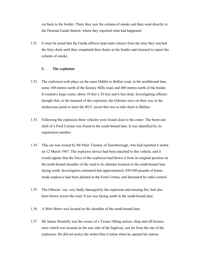car back to the border. There they saw the column of smoke and then went directly to the Dromad Garda Station, where they reported what had happened.

1.51 It must be noted that the Garda officers kept radio silence from the time they reached the ferry dock until they completed their duties at the border and returned to report the column of smoke.

### **C. The explosion**

- 1.52 The explosion took place on the main Dublin to Belfast road, in the northbound lane, some 100 metres north of the Kinney Mills road, and 400 metres north of the border. It created a large crater, about 10 feet x 20 feet and 6 feet deep. Investigating officers thought that, at the moment of the explosion, the Gibsons were on their way to the rendezvous point to meet the RUC escort that was to take them to Belfast.
- 1.53 Following the explosion three vehicles were found close to the crater. The burnt-out shell of a Ford Cortina was found in the south-bound lane. It was identified by its registration number.
- 1.54 This car was owned by Mr Peter Tomany of Jonesborough, who had reported it stolen on 12 March 1987. The explosive device had been attached to this vehicle, and it would appear that the force of the explosion had blown it from its original position on the north-bound shoulder of the road to its ultimate location in the south-bound lane facing south. Investigators estimated that approximately 450-500 pounds of homemade explosive had been planted in the Ford Cortina, and detonated by radio control.
- 1.55 The Gibsons' car, very badly damaged by the explosion and ensuing fire, had also been blown across the road. It too was facing south in the south-bound lane.
- 1.56 A Mini Metro was located on the shoulder of the north-bound lane.
- 1.57 Mr James Donnelly was the owner of a Texaco filling station, shop and off-licence store which was located on the east side of the highway, not far from the site of the explosion. He did not notice the stolen blue Cortina when he opened his station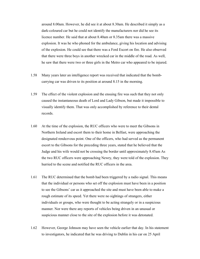around 8.00am. However, he did see it at about 8.30am. He described it simply as a dark-coloured car but he could not identify the manufacturers nor did he see its licence number. He said that at about 8.40am or 8.35am there was a massive explosion. It was he who phoned for the ambulance, giving his location and advising of the explosion. He could see that there was a Ford Escort on fire. He also observed that there were three boys in another wrecked car in the middle of the road. As well, he saw that there were two or three girls in the Metro car who appeared to be injured.

- 1.58 Many years later an intelligence report was received that indicated that the bombcarrying car was driven to its position at around 8.15 in the morning.
- 1.59 The effect of the violent explosion and the ensuing fire was such that they not only caused the instantaneous death of Lord and Lady Gibson, but made it impossible to visually identify them. That was only accomplished by reference to their dental records.
- 1.60 At the time of the explosion, the RUC officers who were to meet the Gibsons in Northern Ireland and escort them to their home in Belfast, were approaching the designated rendezvous point. One of the officers, who had served as the permanent escort to the Gibsons for the preceding three years, stated that he believed that the Judge and his wife would not be crossing the border until approximately 8.45am As the two RUC officers were approaching Newry, they were told of the explosion. They hurried to the scene and notified the RUC officers in the area.
- 1.61 The RUC determined that the bomb had been triggered by a radio signal. This means that the individual or persons who set off the explosion must have been in a position to see the Gibsons' car as it approached the site and must have been able to make a rough estimate of its speed. Yet there were no sightings of strangers, either individuals or groups, who were thought to be acting strangely or in a suspicious manner. Nor were there any reports of vehicles being driven in an unusual or suspicious manner close to the site of the explosion before it was detonated.
- 1.62 However, George Johnson may have seen the vehicle earlier that day. In his statement to investigators, he indicated that he was driving to Dublin in his car on 25 April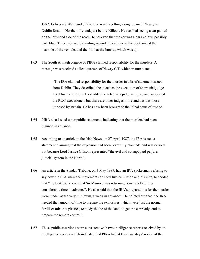1987. Between 7.20am and 7.30am, he was travelling along the main Newry to Dublin Road in Northern Ireland, just before Killeen. He recalled seeing a car parked on the left-hand side of the road. He believed that the car was a dark colour, possibly dark blue. Three men were standing around the car, one at the boot, one at the nearside of the vehicle, and the third at the bonnet, which was up.

1.63 The South Armagh brigade of PIRA claimed responsibility for the murders. A message was received at Headquarters of Newry CID which in turn stated:

> "The IRA claimed responsibility for the murder in a brief statement issued from Dublin. They described the attack as the execution of show trial judge Lord Justice Gibson. They added he acted as a judge and jury and supported the RUC executioners but there are other judges in Ireland besides those imposed by Britain. He has now been brought to the "final court of justice".

- 1.64 PIRA also issued other public statements indicating that the murders had been planned in advance.
- 1.65 According to an article in the Irish News, on 27 April 1987, the IRA issued a statement claiming that the explosion had been "carefully planned" and was carried out because Lord Justice Gibson represented "the evil and corrupt paid perjurer judicial system in the North".
- 1.66 An article in the Sunday Tribune, on 3 May 1987, had an IRA spokesman refusing to say how the IRA knew the movements of Lord Justice Gibson and his wife, but added that "the IRA had known that Sir Maurice was returning home via Dublin a considerable time in advance". He also said that the IRA's preparations for the murder were made "at the very minimum, a week in advance". He pointed out that "the IRA needed that amount of time to prepare the explosives, which were just the normal fertiliser mix, not plastics, to study the lie of the land, to get the car ready, and to prepare the remote control".
- 1.67 These public assertions were consistent with two intelligence reports received by an intelligence agency which indicated that PIRA had at least two days' notice of the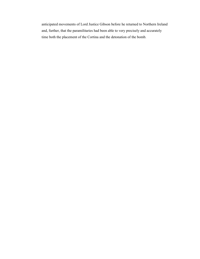anticipated movements of Lord Justice Gibson before he returned to Northern Ireland and, further, that the paramilitaries had been able to very precisely and accurately time both the placement of the Cortina and the detonation of the bomb.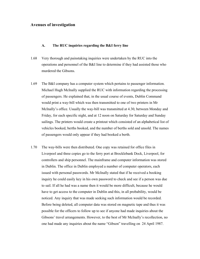#### **Avenues of investigation**

#### **A. The RUC inquiries regarding the B&I ferry line**

- 1.68 Very thorough and painstaking inquiries were undertaken by the RUC into the operations and personnel of the B&I line to determine if they had assisted those who murdered the Gibsons.
- 1.69 The B&I company has a computer system which pertains to passenger information. Michael Hugh McInally supplied the RUC with information regarding the processing of passengers. He explained that, in the usual course of events, Dublin Command would print a way-bill which was then transmitted to one of two printers in Mr McInally's office. Usually the way-bill was transmitted at 4.30, between Monday and Friday, for each specific night, and at 12 noon on Saturday for Saturday and Sunday sailings. The printers would create a printout which consisted of an alphabetical list of vehicles booked, berths booked, and the number of berths sold and unsold. The names of passengers would only appear if they had booked a berth.
- 1.70 The way-bills were then distributed. One copy was retained for office files in Liverpool and three copies go to the ferry port at Brocklebank Dock, Liverpool, for controllers and ship personnel. The mainframe and computer information was stored in Dublin. The office in Dublin employed a number of computer operators, each issued with personal passwords. Mr McInally stated that if he received a booking inquiry he could easily key in his own password to check and see if a person was due to sail. If all he had was a name then it would be more difficult, because he would have to get access to the computer in Dublin and this, in all probability, would be noticed. Any inquiry that was made seeking such information would be recorded. Before being deleted, all computer data was stored on magnetic tape and thus it was possible for the officers to follow up to see if anyone had made inquiries about the Gibsons' travel arrangements. However, to the best of Mr McInally's recollection, no one had made any inquiries about the name "Gibson" travelling on 24 April 1987.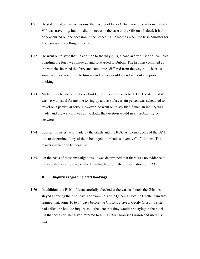- 1.71 He stated that on rare occasions, the Liverpool Ferry Office would be informed that a VIP was travelling, but this did not occur in the case of the Gibsons. Indeed, it had only occurred on one occasion in the preceding 12 months when the Irish Minister for Tourism was travelling on the line.
- 1.72 He went on to state that, in addition to the way-bills, a hand-written list of all vehicles boarding the ferry was made up and forwarded to Dublin. The list was compiled as the vehicles boarded the ferry and sometimes differed from the way-bills, because some vehicles would fail to turn up and others would attend without any prior booking.
- 1.73 Mr Norman Royle of the Ferry Port Controllers at Brocklebank Dock stated that it was very unusual for anyone to ring up and ask if a certain person was scheduled to travel on a particular ferry. However, he went on to say that if such an inquiry was made, and the way-bill was at the dock, the question would in all probability be answered.
- 1.74 Careful inquiries were made by the Garda and the RUC as to employees of the B&I line to determine if any of them belonged to or had "subversive" affiliations. The results appeared to be negative.
- 1.75 On the basis of these investigations, it was determined that there was no evidence to indicate that an employee of the ferry line had furnished information to PIRA.

#### **B. Inquiries regarding hotel bookings**

1.76 In addition, the RUC officers carefully checked at the various hotels the Gibsons stayed at during their holiday. For example, at the Queen's Hotel in Cheltenham they learned that, some 10 to 14 days before the Gibsons arrived, Cecily Gibson's sister had called the hotel to inquire as to the date that they would be staying in the hotel. On that occasion, her sister, referred to him as "Sir" Maurice Gibson and used his title.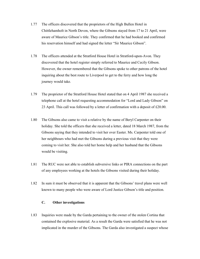- 1.77 The officers discovered that the proprietors of the High Bullen Hotel in Chittlehamholt in North Devon, where the Gibsons stayed from 17 to 21 April, were aware of Maurice Gibson's title. They confirmed that he had booked and confirmed his reservation himself and had signed the letter "Sir Maurice Gibson".
- 1.78 The officers attended at the Stratford House Hotel in Stratford-upon-Avon. They discovered that the hotel register simply referred to Maurice and Cecily Gibson. However, the owner remembered that the Gibsons spoke to other patrons of the hotel inquiring about the best route to Liverpool to get to the ferry and how long the journey would take.
- 1.79 The proprietor of the Stratford House Hotel stated that on 4 April 1987 she received a telephone call at the hotel requesting accommodation for "Lord and Lady Gibson" on 23 April. This call was followed by a letter of confirmation with a deposit of £20.00.
- 1.80 The Gibsons also came to visit a relative by the name of Beryl Carpenter on their holiday. She told the officers that she received a letter, dated 18 March 1987, from the Gibsons saying that they intended to visit her over Easter. Ms. Carpenter told one of her neighbours who had met the Gibsons during a previous visit that they were coming to visit her. She also told her home help and her husband that the Gibsons would be visiting.
- 1.81 The RUC were not able to establish subversive links or PIRA connections on the part of any employees working at the hotels the Gibsons visited during their holiday.
- 1.82 In sum it must be observed that it is apparent that the Gibsons' travel plans were well known to many people who were aware of Lord Justice Gibson's title and position.

#### **C. Other investigations**

1.83 Inquiries were made by the Garda pertaining to the owner of the stolen Cortina that contained the explosive material. As a result the Garda were satisfied that he was not implicated in the murder of the Gibsons. The Garda also investigated a suspect whose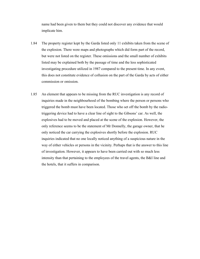name had been given to them but they could not discover any evidence that would implicate him.

- 1.84 The property register kept by the Garda listed only 11 exhibits taken from the scene of the explosion. There were maps and photographs which did form part of the record, but were not listed on the register. These omissions and the small number of exhibits listed may be explained both by the passage of time and the less sophisticated investigating procedure utilized in 1987 compared to the present time. In any event, this does not constitute evidence of collusion on the part of the Garda by acts of either commission or omission.
- 1.85 An element that appears to be missing from the RUC investigation is any record of inquiries made in the neighbourhood of the bombing where the person or persons who triggered the bomb must have been located. Those who set off the bomb by the radiotriggering device had to have a clear line of sight to the Gibsons' car. As well, the explosives had to be moved and placed at the scene of the explosion. However, the only reference seems to be the statement of Mr Donnelly, the garage owner, that he only noticed the car carrying the explosives shortly before the explosion. RUC inquiries indicated that no one locally noticed anything of a suspicious nature in the way of either vehicles or persons in the vicinity. Perhaps that is the answer to this line of investigation. However, it appears to have been carried out with so much less intensity than that pertaining to the employees of the travel agents, the B&I line and the hotels, that it suffers in comparison.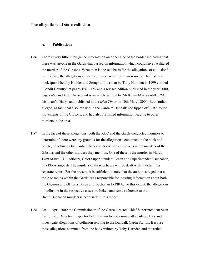#### **The allegations of state collusion**

#### **A. Publications**

- 1.86 There is very little intelligence information on either side of the border indicating that there was anyone in the Garda that passed on information which could have facilitated the murder of the Gibsons. What then is the real basis for the allegations of collusion? In this case, the allegations of state collusion arise from two sources. The first is a book (published by Hodder and Stoughton) written by Toby Harnden in 1999 entitled "Bandit Country" at pages  $156 - 159$  and a revised edition published in the year 2000, pages 460 and 461. The second is an article written by Mr Kevin Myers entitled "An Irishman's Diary" and published in the *Irish Times* on 10th March 2000. Both authors alleged, as fact, that a source within the Garda at Dundalk had tipped off PIRA to the movements of the Gibsons, and had also furnished information leading to other murders in the area.
- 1.87 In the face of these allegations, both the RUC and the Garda conducted inquiries to determine if there were any grounds for the allegations, contained in the book and article, of collusion by Garda officers or its civilian employees in the murders of the Gibsons and the other murders they mention. One of these is the murder in March 1989 of two RUC officers, Chief Superintendent Breen and Superintendent Buchanan, in a PIRA ambush. The murders of these officers will be dealt with in detail in a separate report. For the present, it is sufficient to note that the authors alleged that a mole or moles within the Gardaí was responsible for passing information about both the Gibsons and Officers Breen and Buchanan to PIRA. To this extent, the allegations of collusion in the respective cases are linked and some reference to the Breen/Buchanan murders is necessary in this report.
- 1.88 On 11 April 2000 the Commissioner of the Garda directed Chief Superintendent Sean Camon and Detective Inspector Peter Kirwin to re-examine all available files and investigate allegations of collusion relating to the Dundalk Garda Station. Because those allegations stemmed from the book written by Toby Harnden and the article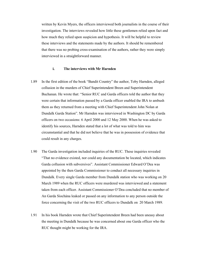written by Kevin Myers, the officers interviewed both journalists in the course of their investigation. The interviews revealed how little these gentlemen relied upon fact and how much they relied upon suspicion and hypothesis. It will be helpful to review these interviews and the statements made by the authors. It should be remembered that there was no probing cross-examination of the authors, rather they were simply interviewed in a straightforward manner.

#### **i. The interviews with Mr Harnden**

- 1.89 In the first edition of the book "Bandit Country" the author, Toby Harnden, alleged collusion in the murders of Chief Superintendent Breen and Superintendent Buchanan. He wrote that: "Senior RUC and Garda officers told the author that they were certain that information passed by a Garda officer enabled the IRA to ambush them as they returned from a meeting with Chief Superintendent John Nolan at Dundalk Garda Station". Mr Harnden was interviewed in Washington DC by Garda officers on two occasions: 6 April 2000 and 12 May 2000. When he was asked to identify his sources, Harnden stated that a lot of what was told to him was circumstantial and that he did not believe that he was in possession of evidence that could result in any charges.
- 1.90 The Garda investigation included inquiries of the RUC. These inquiries revealed "That no evidence existed, nor could any documentation be located, which indicates Garda collusion with subversives". Assistant Commissioner Edward O'Dea was appointed by the then Garda Commissioner to conduct all necessary inquiries in Dundalk. Every single Garda member from Dundalk station who was working on 20 March 1989 when the RUC officers were murdered was interviewed and a statement taken from each officer. Assistant Commissioner O'Dea concluded that no member of An Garda Síochána leaked or passed on any information to any person outside the force concerning the visit of the two RUC officers to Dundalk on 20 March 1989.
- 1.91 In his book Harnden wrote that Chief Superintendent Breen had been uneasy about the meeting in Dundalk because he was concerned about one Garda officer who the RUC thought might be working for the IRA.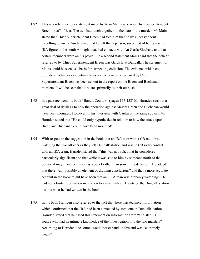- 1.92 This is a reference to a statement made by Alan Mains who was Chief Superintendent Breen's staff officer. The two had lunch together on the date of the murder. Mr Mains stated that Chief Superintendent Breen had told him that he was uneasy about travelling down to Dundalk and that he felt that a person, suspected of being a senior IRA figure in the south Armagh area, had contacts with An Garda Síochána and that certain members were on his payroll. In a second statement Mains said that the officer referred to by Chief Superintendent Breen was Garda B at Dundalk. The statement of Mains could be seen as a basis for suspecting collusion. The evidence which could provide a factual or evidentiary basis for the concern expressed by Chief Superintendent Breen has been set out in the report on the Breen and Buchanan murders. It will be seen that it relates primarily to their ambush.
- 1.93 In a passage from his book "Bandit Country" (pages 157-158) Mr Harnden sets out a great deal of detail as to how the operation against Messrs Breen and Buchanan would have been mounted. However, in his interview with Gardaí on the same subject, Mr Harnden stated that "He could only hypothesize in relation to how the attack upon Breen and Buchanan could have been mounted".
- 1.94 With respect to the suggestion in the book that an IRA man with a CB radio was watching the two officers as they left Dundalk station and was in CB radio contact with an IRA team, Harnden stated that "this was not a fact that he considered particularly significant and that while it was said to him by someone north of the border, it may 'have been said as a belief rather than something definite'." He added that there was "possibly an element of drawing conclusions" and that a more accurate account in the book might have been that an "IRA man was probably watching". He had no definite information in relation to a man with a CB outside the Dundalk station despite what he had written in the book.
- 1.95 In his book Harnden also referred to the fact that there was technical information which confirmed that the IRA had been contacted by someone in Dundalk station. Harnden stated that he based this statement on information from "a trusted RUC source who had an intimate knowledge of the investigation into the two murders". According to Harnden, the source would not expand on this and was "extremely cagey".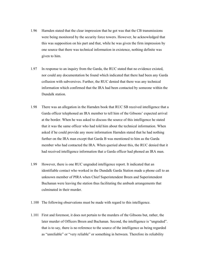- 1.96 Harnden stated that the clear impression that he got was that the CB transmissions were being monitored by the security force towers. However, he acknowledged that this was supposition on his part and that, while he was given the firm impression by one source that there was technical information in existence, nothing definite was given to him.
- 1.97 In response to an inquiry from the Garda, the RUC stated that no evidence existed, nor could any documentation be found which indicated that there had been any Garda collusion with subversives. Further, the RUC denied that there was any technical information which confirmed that the IRA had been contacted by someone within the Dundalk station.
- 1.98 There was an allegation in the Harnden book that RUC SB received intelligence that a Garda officer telephoned an IRA member to tell him of the Gibsons' expected arrival at the border. When he was asked to discuss the source of this intelligence he stated that it was the same officer who had told him about the technical information. When asked if he could provide any more information Harnden stated that he had nothing further on the IRA man except that Garda B was mentioned to him as the Garda member who had contacted the IRA. When queried about this, the RUC denied that it had received intelligence information that a Garda officer had phoned an IRA man.
- 1.99 However, there is one RUC ungraded intelligence report. It indicated that an identifiable contact who worked in the Dundalk Garda Station made a phone call to an unknown member of PIRA when Chief Superintendent Breen and Superintendent Buchanan were leaving the station thus facilitating the ambush arrangements that culminated in their murder.
- 1.100 The following observations must be made with regard to this intelligence.
- 1.101 First and foremost, it does not pertain to the murders of the Gibsons but, rather, the later murder of Officers Breen and Buchanan. Second, the intelligence is "ungraded". that is to say, there is no reference to the source of the intelligence as being regarded as "unreliable" or "very reliable" or something in between. Therefore its reliability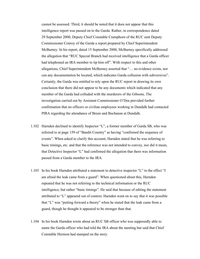cannot be assessed. Third, it should be noted that it does not appear that this intelligence report was passed on to the Garda. Rather, in correspondence dated 29 September 2000, Deputy Chief Constable Cramphorn of the RUC sent Deputy Commissioner Conroy of the Garda a report prepared by Chief Superintendent McBurney. In his report, dated 15 September 2000, McBurney specifically addressed the allegation that "RUC Special Branch had received intelligence that a Garda officer had telephoned an IRA member to tip him off". With respect to this and other allegations, Chief Superintendent McBurney asserted that "… no evidence exists, nor can any documentation be located, which indicates Garda collusion with subversives". Certainly, the Garda was entitled to rely upon the RUC report in drawing its own conclusion that there did not appear to be any documents which indicated that any member of the Garda had colluded with the murderers of the Gibsons. The investigation carried out by Assistant Commissioner O'Dea provided further confirmation that no officers or civilian employees working in Dundalk had contacted PIRA regarding the attendance of Breen and Buchanan at Dundalk.

- 1.102 Harnden declined to identify Inspector "L", a former member of Garda SB, who was referred to at page 159 of "Bandit Country" as having "confirmed the sequence of events". When asked to clarify this account, Harnden stated that he was referring to basic timings, etc. and that the reference was not intended to convey, nor did it mean, that Detective Inspector "L" had confirmed the allegation that there was information passed from a Garda member to the IRA.
- 1.103 In his book Harnden attributed a statement to detective inspector "L" to the effect "I am afraid the leak came from a guard". When questioned about this, Harnden repeated that he was not referring to the technical information or the RUC intelligence, but rather "basic timings". He said that because of editing the statement attributed to "L" appeared out of context. Harnden went on to say that it was possible that "L" was "putting forward a theory" when he stated that the leak came from a guard, though he thought it appeared to be stronger than that.
- 1.104 In his book Harnden wrote about an RUC SB officer who was supposedly able to name the Garda officer who had told the IRA about the meeting but said that Chief Constable Hermon had stamped on the story.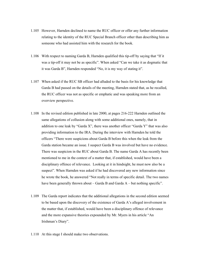- 1.105 However, Harnden declined to name the RUC officer or offer any further information relating to the identity of the RUC Special Branch officer other than describing him as someone who had assisted him with the research for the book.
- 1.106 With respect to naming Garda B, Harnden qualified this tip-off by saying that "If it was a tip-off it may not be as specific". When asked "Can we take it as dogmatic that it was Garda B", Harnden responded "No, it is my way of stating it".
- 1.107 When asked if the RUC SB officer had alluded to the basis for his knowledge that Garda B had passed on the details of the meeting, Harnden stated that, as he recalled, the RUC officer was not as specific or emphatic and was speaking more from an overview perspective.
- 1.108 In the revised edition published in late 2000, at pages 216-222 Harnden outlined the same allegations of collusion along with some additional ones, namely, that in addition to one leak by "Garda X", there was another officer "Garda Y" that was also providing information to the IRA. During the interview with Harnden he told the officers "There were suspicions about Garda B before this when the leak from the Garda station became an issue. I suspect Garda B was involved but have no evidence. There was suspicion in the RUC about Garda B. The name Garda A has recently been mentioned to me in the context of a matter that, if established, would have been a disciplinary offence of relevance. Looking at it in hindsight, he must now also be a suspect". When Harnden was asked if he had discovered any new information since he wrote the book, he answered "Not really in terms of specific detail. The two names have been generally thrown about – Garda B and Garda A – but nothing specific".
- 1.109 The Garda report indicates that the additional allegations in the second edition seemed to be based upon the discovery of the existence of Garda A's alleged involvement in the matter that, if established, would have been a disciplinary offence of relevance and the more expansive theories expounded by Mr. Myers in his article "An Irishman's Diary".
- 1.110 At this stage I should make two observations.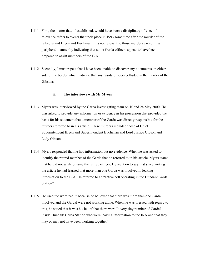- 1.111 First, the matter that, if established, would have been a disciplinary offence of relevance refers to events that took place in 1993 some time after the murder of the Gibsons and Breen and Buchanan. It is not relevant to those murders except in a peripheral manner by indicating that some Garda officers appear to have been prepared to assist members of the IRA.
- 1.112 Secondly, I must repeat that I have been unable to discover any documents on either side of the border which indicate that any Garda officers colluded in the murder of the Gibsons.

#### **ii. The interviews with Mr Myers**

- 1.113 Myers was interviewed by the Garda investigating team on 10 and 24 May 2000. He was asked to provide any information or evidence in his possession that provided the basis for his statement that a member of the Garda was directly responsible for the murders referred to in his article. These murders included those of Chief Superintendent Breen and Superintendent Buchanan and Lord Justice Gibson and Lady Gibson.
- 1.114 Myers responded that he had information but no evidence. When he was asked to identify the retired member of the Garda that he referred to in his article, Myers stated that he did not wish to name the retired officer. He went on to say that since writing the article he had learned that more than one Garda was involved in leaking information to the IRA. He referred to an "active cell operating in the Dundalk Garda Station".
- 1.115 He used the word "cell" because he believed that there was more than one Garda involved and the Gardaí were not working alone. When he was pressed with regard to this, he stated that it was his belief that there were "a very tiny number of Gardaí inside Dundalk Garda Station who were leaking information to the IRA and that they may or may not have been working together".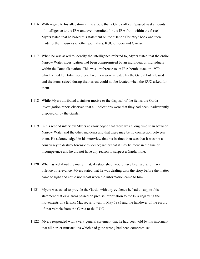- 1.116 With regard to his allegation in the article that a Garda officer "passed vast amounts of intelligence to the IRA and even recruited for the IRA from within the force" Myers stated that he based this statement on the "Bandit Country" book and then made further inquiries of other journalists, RUC officers and Gardaí.
- 1.117 When he was asked to identify the intelligence referred to, Myers stated that the entire Narrow Water investigation had been compromised by an individual or individuals within the Dundalk station. This was a reference to an IRA bomb attack in 1979 which killed 18 British soldiers. Two men were arrested by the Gardaí but released and the items seized during their arrest could not be located when the RUC asked for them.
- 1.118 While Myers attributed a sinister motive to the disposal of the items, the Garda investigation report observed that all indications were that they had been inadvertently disposed of by the Gardaí.
- 1.119 In his second interview Myers acknowledged that there was a long time span between Narrow Water and the other incidents and that there may be no connection between them. He acknowledged in his interview that his instinct then was that it was not a conspiracy to destroy forensic evidence; rather that it may be more in the line of incompetence and he did not have any reason to suspect a Garda mole.
- 1.120 When asked about the matter that, if established, would have been a disciplinary offence of relevance, Myers stated that he was dealing with the story before the matter came to light and could not recall when the information came to him.
- 1.121 Myers was asked to provide the Gardaí with any evidence he had to support his statement that ex-Gardaí passed on precise information to the IRA regarding the movements of a Brinks Mat security van in May 1985 and the handover of the escort of that vehicle from the Garda to the RUC.
- 1.122 Myers responded with a very general statement that he had been told by his informant that all border transactions which had gone wrong had been compromised.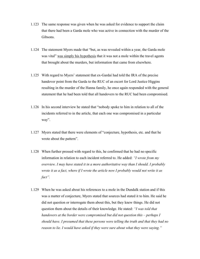- 1.123 The same response was given when he was asked for evidence to support the claim that there had been a Garda mole who was active in connection with the murder of the Gibsons.
- 1.124 The statement Myers made that "but, as was revealed within a year, the Garda mole was vital" was simply his hypothesis that it was not a mole within the travel agents that brought about the murders, but information that came from elsewhere.
- 1.125 With regard to Myers' statement that ex-Gardaí had told the IRA of the precise handover point from the Garda to the RUC of an escort for Lord Justice Higgins resulting in the murder of the Hanna family, he once again responded with the general statement that he had been told that all handovers to the RUC had been compromised.
- 1.126 In his second interview he stated that "nobody spoke to him in relation to all of the incidents referred to in the article, that each one was compromised in a particular way".
- 1.127 Myers stated that there were elements of "conjecture, hypothesis, etc. and that he wrote about the pattern".
- 1.128 When further pressed with regard to this, he confirmed that he had no specific information in relation to each incident referred to. He added: *"I wrote from my overview. I may have stated it in a more authoritative way than I should. I probably wrote it as a fact, where if I wrote the article now I probably would not write it as fact".*
- 1.129 When he was asked about his references to a mole in the Dundalk station and if this was a matter of conjecture, Myers stated that sources had stated it to him. He said he did not question or interrogate them about this, but they knew things. He did not question them about the details of their knowledge. He stated: *"I was told that handovers at the border were compromised but did not question this – perhaps I should have. I presumed that these persons were telling the truth and that they had no reason to lie. I would have asked if they were sure about what they were saying."*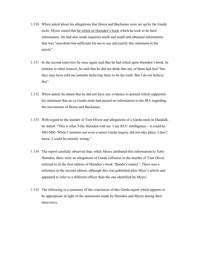- 1.130 When asked about his allegations that Breen and Buchanan were set up by the Garda mole, Myers stated that he relied on Harnden's book which he took to be hard information. He had also made inquiries north and south and obtained information that was "anecdotal but sufficient for me to say and justify this statement in the article".
- 1.131 In the second interview he once again said that he had relied upon Harnden's book. In relation to other sources, he said that he did not think that any of them had lied "but they may have told me untruths believing them to be the truth. But I do not believe this".
- 1.132 When asked, he stated that he did not have any evidence to present which supported his statement that an ex-Garda mole had passed on information to the IRA regarding the movements of Breen and Buchanan.
- 1.133 With regard to the murder of Tom Oliver and allegations of a Garda mole in Dundalk, he stated: "This is what Toby Harnden told me. I say RUC intelligence – it could be MI5/MI6. While I mention not even a minor Garda inquiry did not take place, I don't know, I could be entirely wrong."
- 1.134 The report carefully observed that, while Myers attributed this information to Toby Harnden, there were no allegations of Garda collusion in the murder of Tom Oliver referred to in the first edition of Harnden's book "Bandit Country". There was a reference in the second edition, although this was published after Myer's article and appeared to refer to a different officer than the one identified by Myers.
- 1.135 The following is a summary of the conclusion of this Garda report which appears to be appropriate in light of the statements made by Harnden and Myers during their interviews.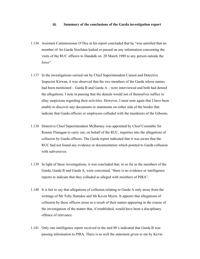#### **iii. Summary of the conclusions of the Garda investigation report**

- 1.136 Assistant Commissioner O'Dea in his report concluded that he "was satisfied that no member of An Garda Síochána leaked or passed on any information concerning the visits of the RUC officers to Dundalk on 20 March 1989 to any person outside the force".
- 1.137 In the investigations carried out by Chief Superintendent Camon and Detective Inspector Kirwan, it was observed that the two members of the Garda whose names had been mentioned – Garda B and Garda A – were interviewed and both had denied the allegations. I note in passing that the denials would not of themselves suffice to allay suspicions regarding their activities. However, I must note again that I have been unable to discover any documents or statements on either side of the border that indicate that Garda officers or employees colluded with the murderers of the Gibsons.
- 1.138 Detective Chief Superintendent McBurney was appointed by Chief Constable Sir Ronnie Flanagan to carry out, on behalf of the RUC, inquiries into the allegations of collusion by Garda officers. The Garda report indicated that it was aware that the RUC had not found any evidence or documentation which pointed to Garda collusion with subversives.
- 1.139 In light of these investigations, it was concluded that, in so far as the members of the Garda, Garda B and Garda A, were concerned, "there is no evidence or intelligence reports to indicate that they colluded as alleged with members of PIRA".
- 1.140 It is fair to say that allegations of collusion relating to Garda A only arose from the writings of Mr Toby Harnden and Mr Kevin Myers. It appears that allegations of collusion by these officers arose as a result of their names appearing in the course of the investigation of the matter that, if established, would have been a disciplinary offence of relevance.
- 1.141 Only one intelligence report received in the mid 80's indicated that Garda B was passing information to PIRA. There is as well the statement given to me by Kevin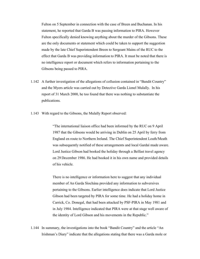Fulton on 5 September in connection with the case of Breen and Buchanan. In his statement, he reported that Garda B was passing information to PIRA. However Fulton specifically denied knowing anything about the murder of the Gibsons. These are the only documents or statement which could be taken to support the suggestion made by the late Chief Superintendent Breen to Sergeant Mains of the RUC to the effect that Garda B was providing information to PIRA. It must be noted that there is no intelligence report or document which refers to information pertaining to the Gibsons being passed to PIRA.

- 1.142 A further investigation of the allegations of collusion contained in "Bandit Country" and the Myers article was carried out by Detective Garda Lionel Mulally. In his report of 31 March 2000, he too found that there was nothing to substantiate the publications.
- 1.143 With regard to the Gibsons, the Mulally Report observed:

 "The international liaison office had been informed by the RUC on 9 April 1987 that the Gibsons would be arriving in Dublin on 25 April by ferry from England en route to Northern Ireland. The Chief Superintendent Louth/Meath was subsequently notified of these arrangements and local Gardaí made aware. Lord Justice Gibson had booked the holiday through a Belfast travel agency on 29 December 1986. He had booked it in his own name and provided details of his vehicle.

 There is no intelligence or information here to suggest that any individual member of An Garda Síochána provided any information to subversives pertaining to the Gibsons. Earlier intelligence does indicate that Lord Justice Gibson had been targeted by PIRA for some time. He had a holiday home in Carrick, Co. Donegal, that had been attacked by PSF-PIRA in May 1981 and in July 1984. Intelligence indicated that PIRA were at that stage well aware of the identity of Lord Gibson and his movements in the Republic."

1.144 In summary, the investigations into the book "Bandit Country" and the article "An Irishman's Diary" indicate that the allegations stating that there was a Garda mole or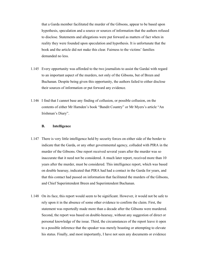that a Garda member facilitated the murder of the Gibsons, appear to be based upon hypothesis, speculation and a source or sources of information that the authors refused to disclose. Statements and allegations were put forward as matters of fact when in reality they were founded upon speculation and hypothesis. It is unfortunate that the book and the article did not make this clear. Fairness to the victims' families demanded no less.

- 1.145 Every opportunity was afforded to the two journalists to assist the Gardaí with regard to an important aspect of the murders, not only of the Gibsons, but of Breen and Buchanan. Despite being given this opportunity, the authors failed to either disclose their sources of information or put forward any evidence.
- 1.146 I find that I cannot base any finding of collusion, or possible collusion, on the contents of either Mr Harnden's book "Bandit Country" or Mr Myers's article "An Irishman's Diary".

#### **B. Intelligence**

- 1.147 There is very little intelligence held by security forces on either side of the border to indicate that the Garda, or any other governmental agency, colluded with PIRA in the murder of the Gibsons. One report received several years after the murder was so inaccurate that it need not be considered. A much later report, received more than 10 years after the murder, must be considered. This intelligence report, which was based on double hearsay, indicated that PIRA had had a contact in the Garda for years, and that this contact had passed on information that facilitated the murders of the Gibsons, and Chief Superintendent Breen and Superintendent Buchanan.
- 1.148 On its face, this report would seem to be significant. However, it would not be safe to rely upon it in the absence of some other evidence to confirm the claim. First, the statement was reportedly made more than a decade after the Gibsons were murdered. Second, the report was based on double-hearsay, without any suggestion of direct or personal knowledge of the issue. Third, the circumstances of the report leave it open to a possible inference that the speaker was merely boasting or attempting to elevate his status. Finally, and most importantly, I have not seen any documents or evidence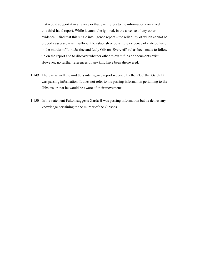that would support it in any way or that even refers to the information contained in this third-hand report. While it cannot be ignored, in the absence of any other evidence, I find that this single intelligence report – the reliability of which cannot be properly assessed – is insufficient to establish or constitute evidence of state collusion in the murder of Lord Justice and Lady Gibson. Every effort has been made to follow up on the report and to discover whether other relevant files or documents exist. However, no further references of any kind have been discovered.

- 1.149 There is as well the mid 80's intelligence report received by the RUC that Garda B was passing information. It does not refer to his passing information pertaining to the Gibsons or that he would be aware of their movements.
- 1.150 In his statement Fulton suggests Garda B was passing information but he denies any knowledge pertaining to the murder of the Gibsons.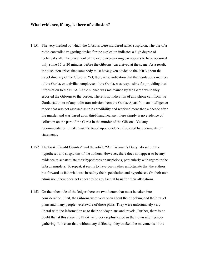#### **What evidence, if any, is there of collusion?**

- 1.151 The very method by which the Gibsons were murdered raises suspicion. The use of a radio-controlled triggering device for the explosion indicates a high degree of technical skill. The placement of the explosive-carrying car appears to have occurred only some 15 or 20 minutes before the Gibsons' car arrived at the scene. As a result, the suspicion arises that somebody must have given advice to the PIRA about the travel itinerary of the Gibsons. Yet, there is no indication that the Garda, or a member of the Garda, or a civilian employee of the Garda, was responsible for providing that information to the PIRA. Radio silence was maintained by the Garda while they escorted the Gibsons to the border. There is no indication of any phone call from the Garda station or of any radio transmission from the Garda. Apart from an intelligence report that was not assessed as to its credibility and received more than a decade after the murder and was based upon third-hand hearsay, there simply is no evidence of collusion on the part of the Garda in the murder of the Gibsons. Yet any recommendation I make must be based upon evidence disclosed by documents or statements.
- 1.152 The book "Bandit Country" and the article "An Irishman's Diary" do set out the hypotheses and suspicions of the authors. However, there does not appear to be any evidence to substantiate their hypotheses or suspicions, particularly with regard to the Gibson murders. To repeat, it seems to have been rather unfortunate that the authors put forward as fact what was in reality their speculation and hypotheses. On their own admission, there does not appear to be any factual basis for their allegations.
- 1.153 On the other side of the ledger there are two factors that must be taken into consideration. First, the Gibsons were very open about their booking and their travel plans and many people were aware of those plans. They were unfortunately very liberal with the information as to their holiday plans and travels. Further, there is no doubt that at this stage the PIRA were very sophisticated in their own intelligencegathering. It is clear that, without any difficulty, they tracked the movements of the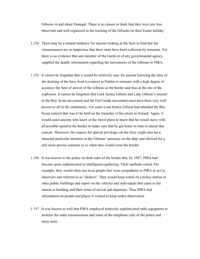Gibsons in and about Donegal. There is no reason to think that they were any less observant and well organized in the tracking of the Gibsons on their Easter holiday.

- 1.154 There may be a natural tendency for anyone looking at the facts to find that the circumstances are so suspicious that there must have been collusion by someone. Yet there is no evidence that any member of the Garda or of any governmental agency supplied the deadly information regarding the movements of the Gibsons to PIRA.
- 1.155 It cannot be forgotten that it would be relatively easy for anyone knowing the time of the docking of the ferry from Liverpool to Dublin to estimate with a high degree of accuracy the time of arrival of the Gibsons at the border and thus at the site of the explosion. It cannot be forgotten that Lord Justice Gibson and Lady Gibson's interest in the Boy Scout movement and the Girl Guide movement must have been very well known to all in the community. For years Lord Justice Gibson had attended the Boy Scout concert that was to be held on the Saturday of his return to Ireland. Again, it would assist anyone who knew of the travel plans to know that he would move with all possible speed to the border to make sure that he got home in time to attend that concert. Moreover, the request for special privileges on the ferry might also have attracted particular attention to the Gibsons' presence on the ship, and allowed for a still more precise estimate as to when they would cross the border.
- 1.156 It was known to the police on both sides of the border that, by 1987, PIRA had become quite sophisticated in intelligence-gathering. Their methods varied. For example, they would often use local people that were sympathetic to PIRA to act as observers and referred to as "dickers". They would keep watch on a police station or other public buildings and report on the vehicles and individuals that came to the station or building and their times of arrival and departure. Thus PIRA had information on people and places it wished to keep under observation.
- 1.157 It was known as well that PIRA employed relatively sophisticated radio equipment to monitor the radio transmissions and some of the telephone calls of the police and army units.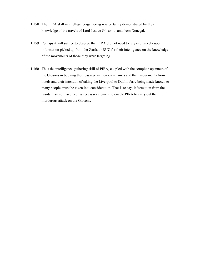- 1.158 The PIRA skill in intelligence-gathering was certainly demonstrated by their knowledge of the travels of Lord Justice Gibson to and from Donegal.
- 1.159 Perhaps it will suffice to observe that PIRA did not need to rely exclusively upon information picked up from the Garda or RUC for their intelligence on the knowledge of the movements of those they were targeting.
- 1.160 Thus the intelligence-gathering skill of PIRA, coupled with the complete openness of the Gibsons in booking their passage in their own names and their movements from hotels and their intention of taking the Liverpool to Dublin ferry being made known to many people, must be taken into consideration. That is to say, information from the Garda may not have been a necessary element to enable PIRA to carry out their murderous attack on the Gibsons.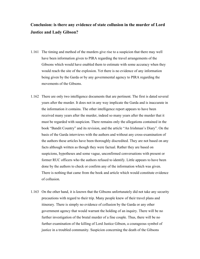# **Conclusion: is there any evidence of state collusion in the murder of Lord Justice and Lady Gibson?**

- 1.161 The timing and method of the murders give rise to a suspicion that there may well have been information given to PIRA regarding the travel arrangements of the Gibsons which would have enabled them to estimate with some accuracy when they would reach the site of the explosion. Yet there is no evidence of any information being given by the Garda or by any governmental agency to PIRA regarding the movements of the Gibsons.
- 1.162 There are only two intelligence documents that are pertinent. The first is dated several years after the murder. It does not in any way implicate the Garda and is inaccurate in the information it contains. The other intelligence report appears to have been received many years after the murder, indeed so many years after the murder that it must be regarded with suspicion. There remains only the allegations contained in the book "Bandit Country" and its revision, and the article "An Irishman's Diary". On the basis of the Garda interviews with the authors and without any cross-examination of the authors these articles have been thoroughly discredited. They are not based on any facts although written as though they were factual. Rather they are based on suspicions, hypotheses and some vague, unconfirmed conversations with present or former RUC officers who the authors refused to identify. Little appears to have been done by the authors to check or confirm any of the information which was given. There is nothing that came from the book and article which would constitute evidence of collusion.
- 1.163 On the other hand, it is known that the Gibsons unfortunately did not take any security precautions with regard to their trip. Many people knew of their travel plans and itinerary. There is simply no evidence of collusion by the Garda or any other government agency that would warrant the holding of an inquiry. There will be no further investigation of the brutal murder of a fine couple. Thus, there will be no further examination of the killing of Lord Justice Gibson, a courageous symbol of justice in a troubled community. Suspicion concerning the death of the Gibsons